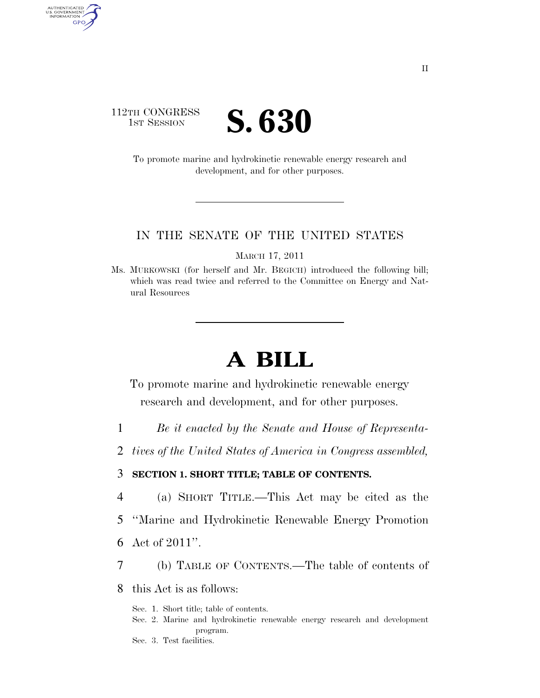### 112TH CONGRESS **IST SESSION S. 630**

AUTHENTICATED<br>U.S. GOVERNMENT<br>INFORMATION GPO

> To promote marine and hydrokinetic renewable energy research and development, and for other purposes.

#### IN THE SENATE OF THE UNITED STATES

MARCH 17, 2011

Ms. MURKOWSKI (for herself and Mr. BEGICH) introduced the following bill; which was read twice and referred to the Committee on Energy and Natural Resources

# **A BILL**

To promote marine and hydrokinetic renewable energy research and development, and for other purposes.

- 1 *Be it enacted by the Senate and House of Representa-*
- 2 *tives of the United States of America in Congress assembled,*

#### 3 **SECTION 1. SHORT TITLE; TABLE OF CONTENTS.**

- 4 (a) SHORT TITLE.—This Act may be cited as the
- 5 ''Marine and Hydrokinetic Renewable Energy Promotion
- 6 Act of 2011''.
- 7 (b) TABLE OF CONTENTS.—The table of contents of

8 this Act is as follows:

- Sec. 1. Short title; table of contents.
- Sec. 2. Marine and hydrokinetic renewable energy research and development program.
- Sec. 3. Test facilities.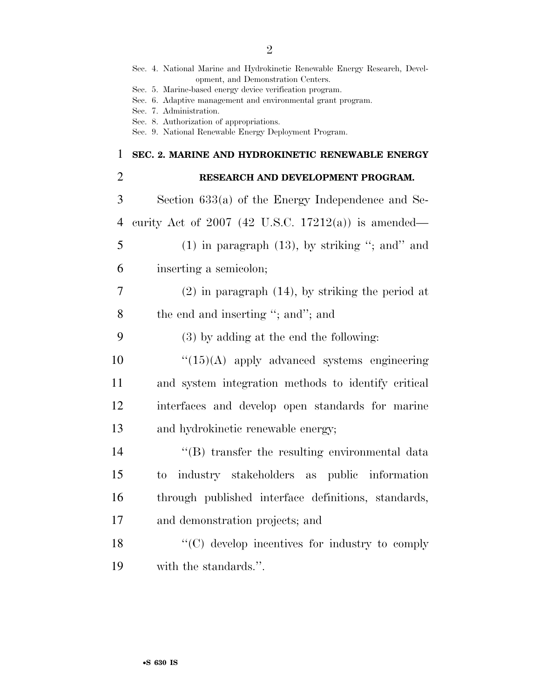|                | Sec. 4. National Marine and Hydrokinetic Renewable Energy Research, Devel-<br>opment, and Demonstration Centers.<br>Sec. 5. Marine-based energy device verification program.<br>Sec. 6. Adaptive management and environmental grant program. |
|----------------|----------------------------------------------------------------------------------------------------------------------------------------------------------------------------------------------------------------------------------------------|
|                | Sec. 7. Administration.<br>Sec. 8. Authorization of appropriations.                                                                                                                                                                          |
|                | Sec. 9. National Renewable Energy Deployment Program.                                                                                                                                                                                        |
| 1              | SEC. 2. MARINE AND HYDROKINETIC RENEWABLE ENERGY                                                                                                                                                                                             |
| $\overline{2}$ | RESEARCH AND DEVELOPMENT PROGRAM.                                                                                                                                                                                                            |
| 3              | Section $633(a)$ of the Energy Independence and Se-                                                                                                                                                                                          |
| $\overline{4}$ | curity Act of 2007 (42 U.S.C. 17212(a)) is amended—                                                                                                                                                                                          |
| 5              | $(1)$ in paragraph $(13)$ , by striking "; and" and                                                                                                                                                                                          |
| 6              | inserting a semicolon;                                                                                                                                                                                                                       |
| 7              | $(2)$ in paragraph $(14)$ , by striking the period at                                                                                                                                                                                        |
| 8              | the end and inserting "; and"; and                                                                                                                                                                                                           |
| 9              | $(3)$ by adding at the end the following:                                                                                                                                                                                                    |
| 10             | $\lq(15)(A)$ apply advanced systems engineering                                                                                                                                                                                              |
| 11             | and system integration methods to identify critical                                                                                                                                                                                          |
| 12             | interfaces and develop open standards for marine                                                                                                                                                                                             |
| 13             | and hydrokinetic renewable energy;                                                                                                                                                                                                           |
| 14             | "(B) transfer the resulting environmental data                                                                                                                                                                                               |
| 15             | industry stakeholders as public information<br>$\mathop{\mathrm{to}}$                                                                                                                                                                        |
| 16             | through published interface definitions, standards,                                                                                                                                                                                          |
| 17             | and demonstration projects; and                                                                                                                                                                                                              |
| 18             | "(C) develop incentives for industry to comply                                                                                                                                                                                               |
| 19             | with the standards.".                                                                                                                                                                                                                        |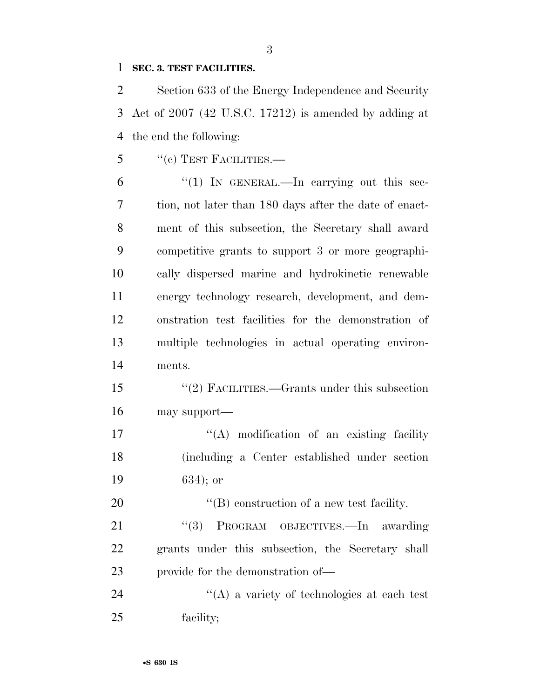#### **SEC. 3. TEST FACILITIES.**

 Section 633 of the Energy Independence and Security Act of 2007 (42 U.S.C. 17212) is amended by adding at the end the following:

- 5 "(c) TEST FACILITIES.—
- $\frac{6}{1}$  <sup>('(1)</sup> IN GENERAL.—In carrying out this sec- tion, not later than 180 days after the date of enact- ment of this subsection, the Secretary shall award competitive grants to support 3 or more geographi- cally dispersed marine and hydrokinetic renewable energy technology research, development, and dem- onstration test facilities for the demonstration of multiple technologies in actual operating environ-ments.
- ''(2) FACILITIES.—Grants under this subsection may support—

17  $\langle (A) \rangle$  modification of an existing facility (including a Center established under section 634); or

20  $\text{``(B) construction of a new test facility.}$ 

21 "(3) PROGRAM OBJECTIVES.—In awarding grants under this subsection, the Secretary shall 23 provide for the demonstration of —

 ''(A) a variety of technologies at each test facility;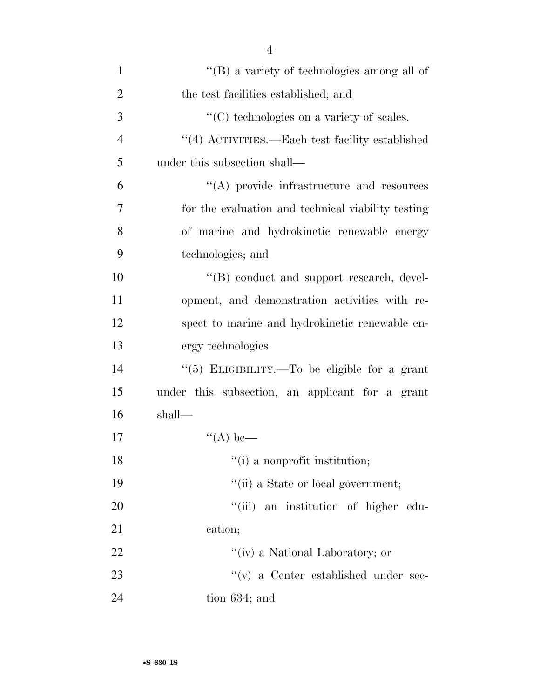| 1              | $\lq\lq (B)$ a variety of technologies among all of |
|----------------|-----------------------------------------------------|
| $\overline{2}$ | the test facilities established; and                |
| 3              | $\lq\lq$ (C) technologies on a variety of scales.   |
| $\overline{4}$ | $``(4)$ ACTIVITIES.—Each test facility established  |
| 5              | under this subsection shall—                        |
| 6              | "(A) provide infrastructure and resources           |
| 7              | for the evaluation and technical viability testing  |
| 8              | of marine and hydrokinetic renewable energy         |
| 9              | technologies; and                                   |
| 10             | "(B) conduct and support research, devel-           |
| 11             | opment, and demonstration activities with re-       |
| 12             | spect to marine and hydrokinetic renewable en-      |
| 13             | ergy technologies.                                  |
| 14             | "(5) ELIGIBILITY.—To be eligible for a grant        |
| 15             | under this subsection, an applicant for a grant     |
| 16             | shall—                                              |
| 17             | $\lq (A)$ be—                                       |
| 18             | "(i) a nonprofit institution;                       |
| 19             | "(ii) a State or local government;                  |
| 20             | "(iii) an institution of higher edu-                |
| 21             | cation;                                             |
| 22             | "(iv) a National Laboratory; or                     |
| 23             | "(v) a Center established under sec-                |
| 24             | tion $634$ ; and                                    |

4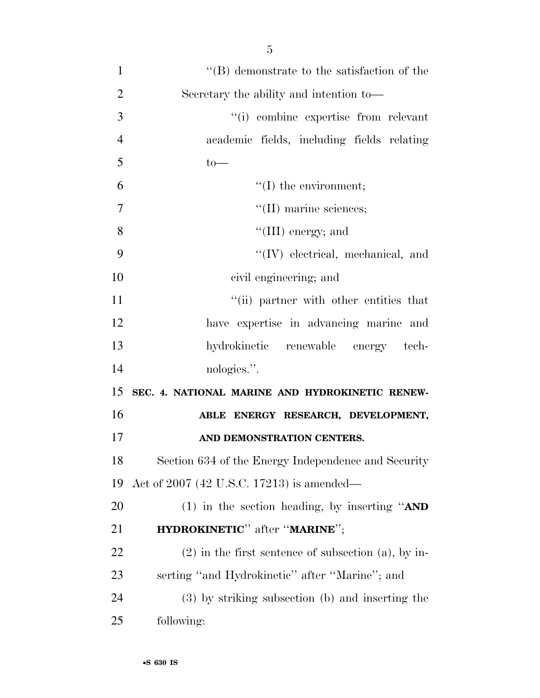| $\mathbf{1}$   | $\lq\lq (B)$ demonstrate to the satisfaction of the      |
|----------------|----------------------------------------------------------|
| $\overline{2}$ | Secretary the ability and intention to-                  |
| 3              | "(i) combine expertise from relevant                     |
| $\overline{4}$ | academic fields, including fields relating               |
| 5              | $to-$                                                    |
| 6              | $\lq\lq$ (I) the environment;                            |
| $\overline{7}$ | $\lq\lq$ (II) marine sciences;                           |
| 8              | "(III) energy; and                                       |
| 9              | "(IV) electrical, mechanical, and                        |
| 10             | civil engineering; and                                   |
| 11             | "(ii) partner with other entities that                   |
| 12             | have expertise in advancing marine and                   |
| 13             | hydrokinetic renewable energy tech-                      |
| 14             | nologies.".                                              |
| 15             | SEC. 4. NATIONAL MARINE AND HYDROKINETIC RENEW-          |
| 16             | ABLE ENERGY RESEARCH, DEVELOPMENT,                       |
| 17             | AND DEMONSTRATION CENTERS.                               |
| 18             | Section 634 of the Energy Independence and Security      |
| 19             | Act of 2007 (42 U.S.C. 17213) is amended—                |
| <b>20</b>      | (1) in the section heading, by inserting " $AND$         |
| 21             | <b>HYDROKINETIC</b> " after " <b>MARINE</b> ";           |
| <u>22</u>      | $(2)$ in the first sentence of subsection $(a)$ , by in- |
| 23             | serting "and Hydrokinetic" after "Marine"; and           |
|                |                                                          |
| 24             | (3) by striking subsection (b) and inserting the         |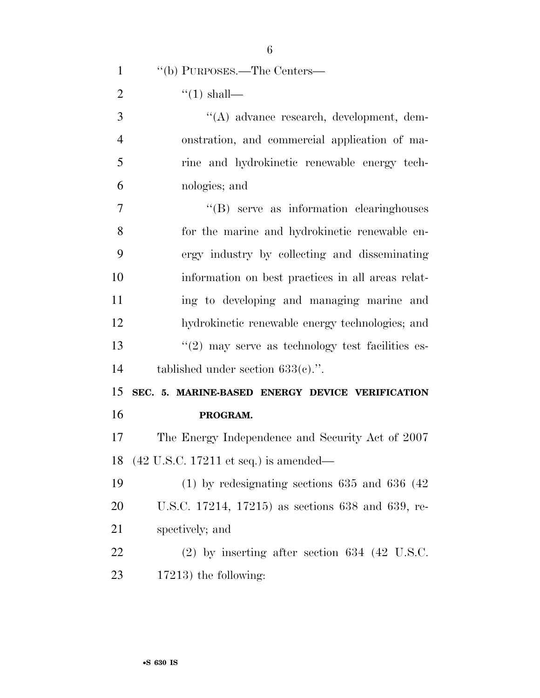| $\mathbf{1}$   | "(b) PURPOSES.—The Centers—                                |
|----------------|------------------------------------------------------------|
| $\overline{2}$ | $\lq(1)$ shall—                                            |
| 3              | "(A) advance research, development, dem-                   |
| $\overline{4}$ | onstration, and commercial application of ma-              |
| 5              | rine and hydrokinetic renewable energy tech-               |
| 6              | nologies; and                                              |
| $\overline{7}$ | "(B) serve as information clearinghouses                   |
| 8              | for the marine and hydrokinetic renewable en-              |
| 9              | ergy industry by collecting and disseminating              |
| 10             | information on best practices in all areas relat-          |
| 11             | ing to developing and managing marine and                  |
| 12             | hydrokinetic renewable energy technologies; and            |
| 13             | $"(2)$ may serve as technology test facilities es-         |
| 14             | tablished under section $633(e)$ .".                       |
| 15             | SEC. 5. MARINE-BASED ENERGY DEVICE VERIFICATION            |
| 16             | PROGRAM.                                                   |
| 17             | The Energy Independence and Security Act of 2007           |
|                | 18 (42 U.S.C. 17211 et seq.) is amended—                   |
| 19             | $(1)$ by redesignating sections 635 and 636 $(42)$         |
| <b>20</b>      | U.S.C. 17214, 17215) as sections 638 and 639, re-          |
| 21             | spectively; and                                            |
| 22             | $(2)$ by inserting after section 634 $(42 \text{ U.S.C.})$ |

17213) the following: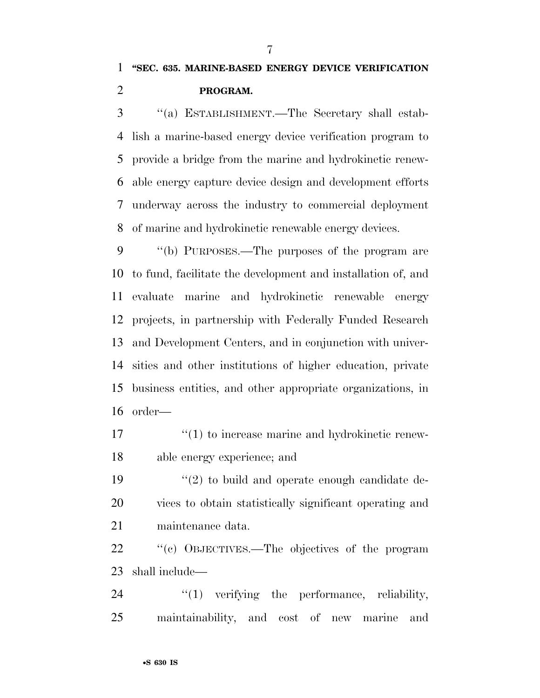''(a) ESTABLISHMENT.—The Secretary shall estab- lish a marine-based energy device verification program to provide a bridge from the marine and hydrokinetic renew- able energy capture device design and development efforts underway across the industry to commercial deployment of marine and hydrokinetic renewable energy devices.

 ''(b) PURPOSES.—The purposes of the program are to fund, facilitate the development and installation of, and evaluate marine and hydrokinetic renewable energy projects, in partnership with Federally Funded Research and Development Centers, and in conjunction with univer- sities and other institutions of higher education, private business entities, and other appropriate organizations, in order—

17  $\frac{17}{2}$  (1) to increase marine and hydrokinetic renew-able energy experience; and

 ''(2) to build and operate enough candidate de- vices to obtain statistically significant operating and maintenance data.

 ''(c) OBJECTIVES.—The objectives of the program shall include—

24  $\frac{1}{2}$   $\frac{1}{2}$  verifying the performance, reliability, maintainability, and cost of new marine and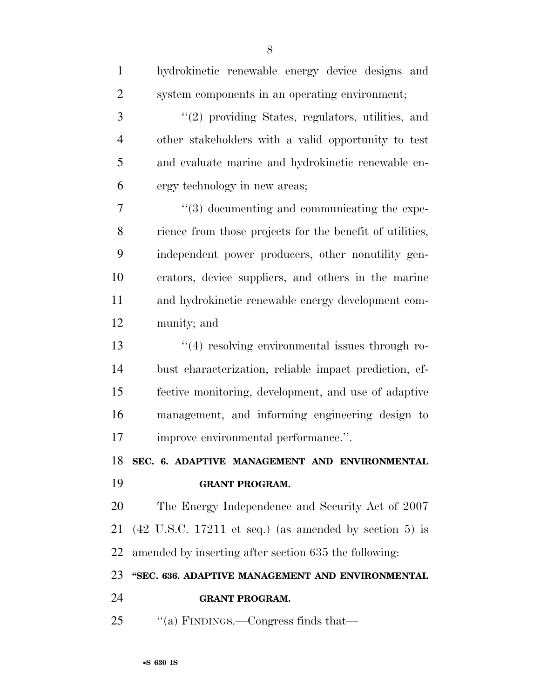| $\mathbf{1}$   | hydrokinetic renewable energy device designs and                          |
|----------------|---------------------------------------------------------------------------|
| $\overline{2}$ | system components in an operating environment;                            |
| 3              | $"(2)$ providing States, regulators, utilities, and                       |
| $\overline{4}$ | other stakeholders with a valid opportunity to test                       |
| 5              | and evaluate marine and hydrokinetic renewable en-                        |
| 6              | ergy technology in new areas;                                             |
| 7              | $\cdot\cdot$ (3) documenting and communicating the expe-                  |
| 8              | rience from those projects for the benefit of utilities,                  |
| 9              | independent power producers, other nonutility gen-                        |
| 10             | erators, device suppliers, and others in the marine                       |
| 11             | and hydrokinetic renewable energy development com-                        |
| 12             | munity; and                                                               |
| 13             | $\cdot$ (4) resolving environmental issues through ro-                    |
| 14             | bust characterization, reliable impact prediction, ef-                    |
| 15             | fective monitoring, development, and use of adaptive                      |
| 16             | management, and informing engineering design to                           |
| 17             | improve environmental performance.".                                      |
| 18             | SEC. 6. ADAPTIVE MANAGEMENT AND ENVIRONMENTAL                             |
| 19             | <b>GRANT PROGRAM.</b>                                                     |
| 20             | The Energy Independence and Security Act of 2007                          |
| 21             | $(42 \text{ U.S.C. } 17211 \text{ et seq.})$ (as amended by section 5) is |
| 22             | amended by inserting after section 635 the following:                     |
| 23             | "SEC. 636. ADAPTIVE MANAGEMENT AND ENVIRONMENTAL                          |
| 24             | <b>GRANT PROGRAM.</b>                                                     |
| 25             | "(a) FINDINGS.—Congress finds that—                                       |
|                |                                                                           |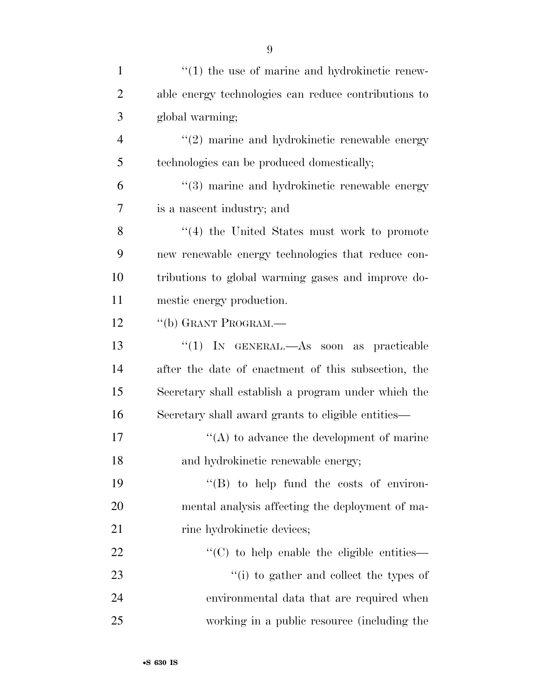| $\mathbf{1}$   | $\cdot\cdot\cdot(1)$ the use of marine and hydrokinetic renew- |
|----------------|----------------------------------------------------------------|
| $\overline{2}$ | able energy technologies can reduce contributions to           |
| 3              | global warming;                                                |
| $\overline{4}$ | "(2) marine and hydrokinetic renewable energy                  |
| 5              | technologies can be produced domestically;                     |
| 6              | "(3) marine and hydrokinetic renewable energy                  |
| 7              | is a nascent industry; and                                     |
| 8              | $\cdot$ (4) the United States must work to promote             |
| 9              | new renewable energy technologies that reduce con-             |
| 10             | tributions to global warming gases and improve do-             |
| 11             | mestic energy production.                                      |
| 12             | "(b) GRANT PROGRAM.—                                           |
| 13             | "(1) IN GENERAL.—As soon as practicable                        |
| 14             | after the date of enactment of this subsection, the            |
| 15             | Secretary shall establish a program under which the            |
| 16             | Secretary shall award grants to eligible entities—             |
| 17             | $\lq\lq$ to advance the development of marine                  |
| 18             | and hydrokinetic renewable energy;                             |
| 19             | $\lq\lq (B)$ to help fund the costs of environ-                |
| 20             | mental analysis affecting the deployment of ma-                |
| 21             | rine hydrokinetic devices;                                     |
| 22             | "(C) to help enable the eligible entities—                     |
| 23             | "(i) to gather and collect the types of                        |
| 24             | environmental data that are required when                      |
| 25             | working in a public resource (including the                    |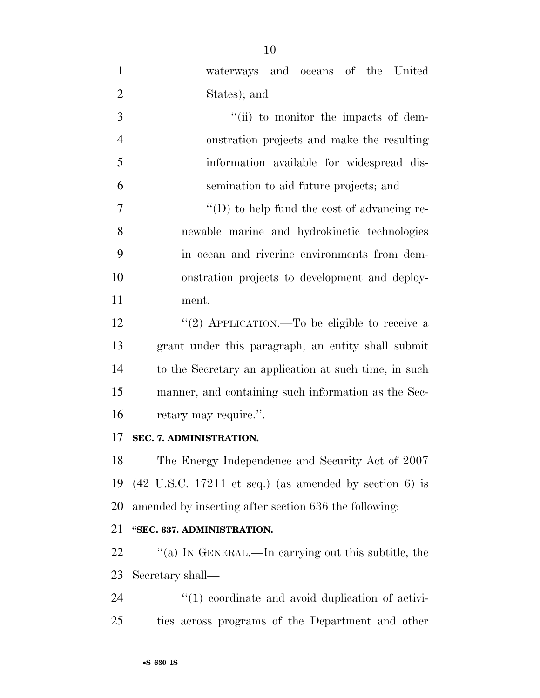| $\mathbf{1}$   | waterways and oceans of the United                                        |
|----------------|---------------------------------------------------------------------------|
| $\overline{2}$ | States); and                                                              |
| 3              | "(ii) to monitor the impacts of dem-                                      |
| $\overline{4}$ | onstration projects and make the resulting                                |
| 5              | information available for widespread dis-                                 |
| 6              | semination to aid future projects; and                                    |
| $\overline{7}$ | $\lq\lq$ to help fund the cost of advancing re-                           |
| 8              | newable marine and hydrokinetic technologies                              |
| 9              | in ocean and riverine environments from dem-                              |
| 10             | onstration projects to development and deploy-                            |
| 11             | ment.                                                                     |
| 12             | "(2) APPLICATION.—To be eligible to receive a                             |
| 13             | grant under this paragraph, an entity shall submit                        |
| 14             | to the Secretary an application at such time, in such                     |
| 15             | manner, and containing such information as the Sec-                       |
| 16             | retary may require.".                                                     |
| 17             | SEC. 7. ADMINISTRATION.                                                   |
| 18             | The Energy Independence and Security Act of 2007                          |
| 19             | $(42 \text{ U.S.C. } 17211 \text{ et seq.})$ (as amended by section 6) is |
| 20             | amended by inserting after section 636 the following:                     |
| 21             | "SEC. 637. ADMINISTRATION.                                                |
| 22             | "(a) IN GENERAL.—In carrying out this subtitle, the                       |
| 23             | Secretary shall—                                                          |
| 24             | $\lq(1)$ coordinate and avoid duplication of activi-                      |
| 25             | ties across programs of the Department and other                          |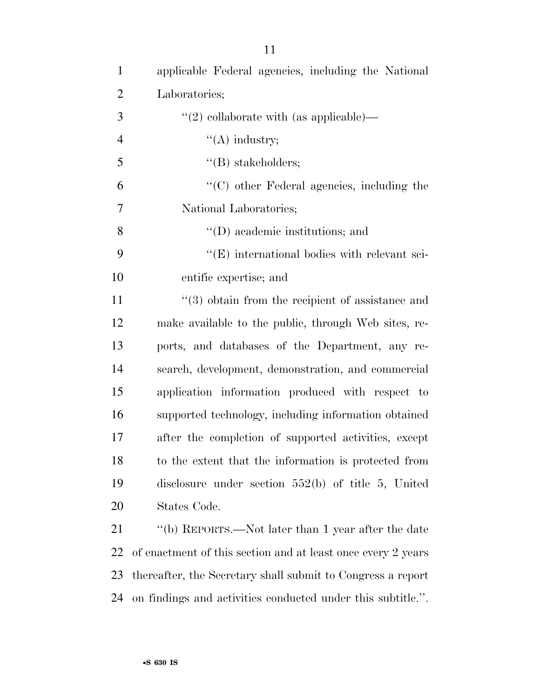| $\mathbf{1}$   | applicable Federal agencies, including the National          |
|----------------|--------------------------------------------------------------|
| $\overline{2}$ | Laboratories;                                                |
| 3              | $\lq(2)$ collaborate with (as applicable)—                   |
| $\overline{4}$ | $\lq\lq$ industry;                                           |
| 5              | $\lq\lq(B)$ stakeholders;                                    |
| 6              | $\lq\lq$ (C) other Federal agencies, including the           |
| 7              | National Laboratories;                                       |
| 8              | $\lq\lq$ (D) academic institutions; and                      |
| 9              | $\lq\lq$ (E) international bodies with relevant sci-         |
| 10             | entific expertise; and                                       |
| 11             | $(3)$ obtain from the recipient of assistance and            |
| 12             | make available to the public, through Web sites, re-         |
| 13             | ports, and databases of the Department, any re-              |
| 14             | search, development, demonstration, and commercial           |
| 15             | application information produced with respect to             |
| 16             | supported technology, including information obtained         |
| 17             | after the completion of supported activities, except         |
| 18             | to the extent that the information is protected from         |
| 19             | disclosure under section $552(b)$ of title 5, United         |
| 20             | States Code.                                                 |
| 21             | "(b) REPORTS.—Not later than 1 year after the date           |
| 22             | of enactment of this section and at least once every 2 years |
| 23             | thereafter, the Secretary shall submit to Congress a report  |

on findings and activities conducted under this subtitle.''.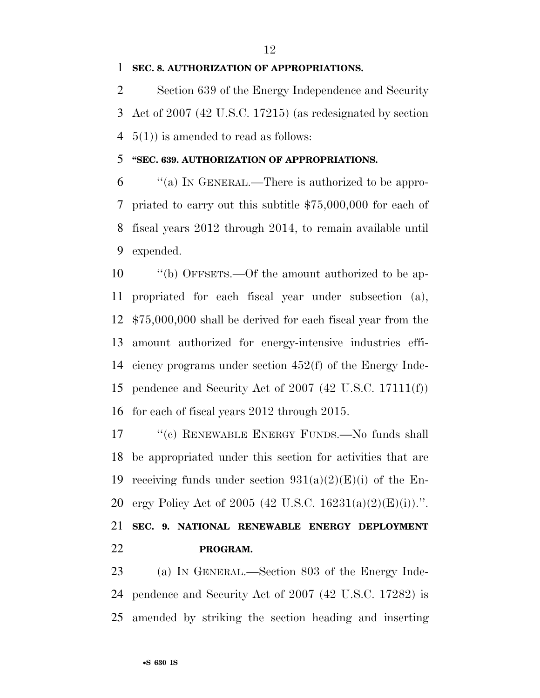#### **SEC. 8. AUTHORIZATION OF APPROPRIATIONS.**

 Section 639 of the Energy Independence and Security Act of 2007 (42 U.S.C. 17215) (as redesignated by section 5(1)) is amended to read as follows:

#### **''SEC. 639. AUTHORIZATION OF APPROPRIATIONS.**

 ''(a) IN GENERAL.—There is authorized to be appro- priated to carry out this subtitle \$75,000,000 for each of fiscal years 2012 through 2014, to remain available until expended.

 ''(b) OFFSETS.—Of the amount authorized to be ap- propriated for each fiscal year under subsection (a), \$75,000,000 shall be derived for each fiscal year from the amount authorized for energy-intensive industries effi- ciency programs under section 452(f) of the Energy Inde- pendence and Security Act of 2007 (42 U.S.C. 17111(f)) for each of fiscal years 2012 through 2015.

17 ""(c) RENEWABLE ENERGY FUNDS.—No funds shall be appropriated under this section for activities that are 19 receiving funds under section  $931(a)(2)(E)(i)$  of the En- ergy Policy Act of 2005 (42 U.S.C. 16231(a)(2)(E)(i)).''. **SEC. 9. NATIONAL RENEWABLE ENERGY DEPLOYMENT PROGRAM.** 

 (a) IN GENERAL.—Section 803 of the Energy Inde- pendence and Security Act of 2007 (42 U.S.C. 17282) is amended by striking the section heading and inserting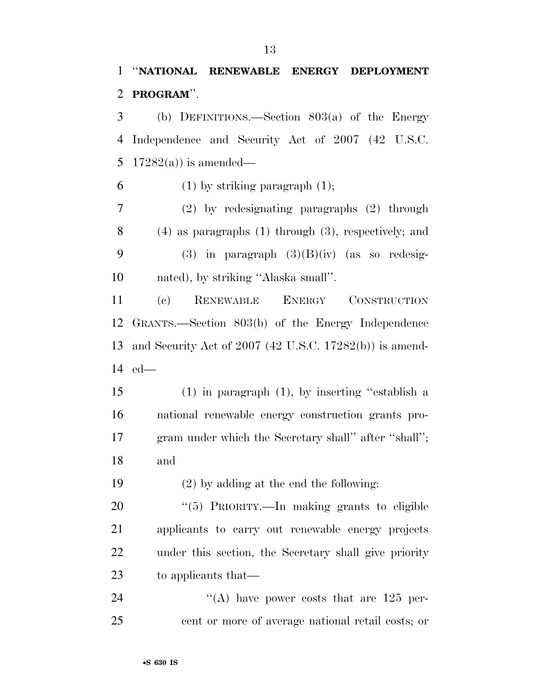## ''**NATIONAL RENEWABLE ENERGY DEPLOYMENT PROGRAM**''.

 (b) DEFINITIONS.—Section 803(a) of the Energy Independence and Security Act of 2007 (42 U.S.C. 5 17282(a)) is amended—

6 (1) by striking paragraph  $(1)$ ;

 (2) by redesignating paragraphs (2) through (4) as paragraphs (1) through (3), respectively; and 9 (3) in paragraph  $(3)(B)(iv)$  (as so redesig-nated), by striking ''Alaska small''.

 (c) RENEWABLE ENERGY CONSTRUCTION GRANTS.—Section 803(b) of the Energy Independence and Security Act of 2007 (42 U.S.C. 17282(b)) is amend-ed—

 (1) in paragraph (1), by inserting ''establish a national renewable energy construction grants pro- gram under which the Secretary shall'' after ''shall''; and

(2) by adding at the end the following:

20 "(5) PRIORITY.—In making grants to eligible applicants to carry out renewable energy projects under this section, the Secretary shall give priority to applicants that—

24 ''(A) have power costs that are 125 per-cent or more of average national retail costs; or